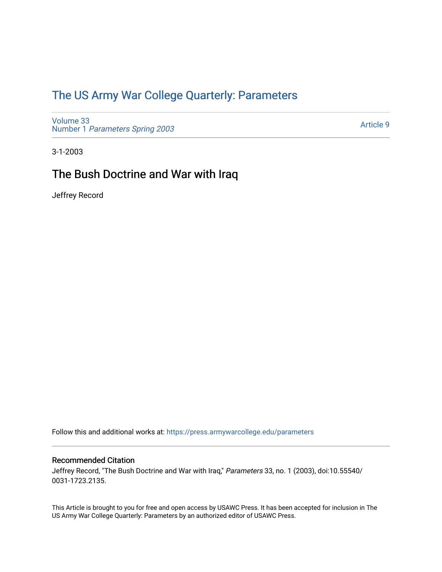## [The US Army War College Quarterly: Parameters](https://press.armywarcollege.edu/parameters)

[Volume 33](https://press.armywarcollege.edu/parameters/vol33) Number 1 [Parameters Spring 2003](https://press.armywarcollege.edu/parameters/vol33/iss1) 

[Article 9](https://press.armywarcollege.edu/parameters/vol33/iss1/9) 

3-1-2003

# The Bush Doctrine and War with Iraq

Jeffrey Record

Follow this and additional works at: [https://press.armywarcollege.edu/parameters](https://press.armywarcollege.edu/parameters?utm_source=press.armywarcollege.edu%2Fparameters%2Fvol33%2Fiss1%2F9&utm_medium=PDF&utm_campaign=PDFCoverPages) 

#### Recommended Citation

Jeffrey Record, "The Bush Doctrine and War with Iraq," Parameters 33, no. 1 (2003), doi:10.55540/ 0031-1723.2135.

This Article is brought to you for free and open access by USAWC Press. It has been accepted for inclusion in The US Army War College Quarterly: Parameters by an authorized editor of USAWC Press.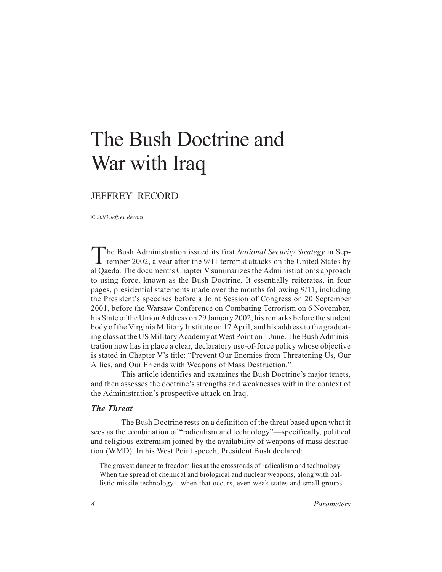# The Bush Doctrine and War with Iraq

## JEFFREY RECORD

*© 2003 Jeffrey Record*

The Bush Administration issued its first *National Security Strategy* in September 2002, a year after the 9/11 terrorist attacks on the United States by al Qaeda. The document's Chapter V summarizes the Administration's approach to using force, known as the Bush Doctrine. It essentially reiterates, in four pages, presidential statements made over the months following 9/11, including the President's speeches before a Joint Session of Congress on 20 September 2001, before the Warsaw Conference on Combating Terrorism on 6 November, his State of the Union Address on 29 January 2002, his remarks before the student body of the Virginia Military Institute on 17 April, and his address to the graduating class at the US Military Academy at West Point on 1 June. The Bush Administration now has in place a clear, declaratory use-of-force policy whose objective is stated in Chapter V's title: "Prevent Our Enemies from Threatening Us, Our Allies, and Our Friends with Weapons of Mass Destruction."

This article identifies and examines the Bush Doctrine's major tenets, and then assesses the doctrine's strengths and weaknesses within the context of the Administration's prospective attack on Iraq.

#### *The Threat*

The Bush Doctrine rests on a definition of the threat based upon what it sees as the combination of "radicalism and technology"—specifically, political and religious extremism joined by the availability of weapons of mass destruction (WMD). In his West Point speech, President Bush declared:

The gravest danger to freedom lies at the crossroads of radicalism and technology. When the spread of chemical and biological and nuclear weapons, along with ballistic missile technology—when that occurs, even weak states and small groups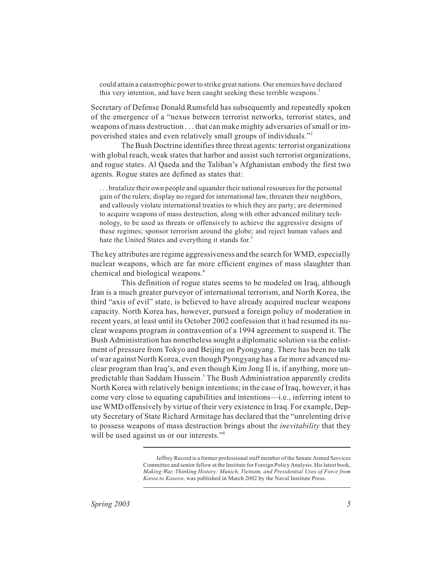could attain a catastrophic power to strike great nations. Our enemies have declared this very intention, and have been caught seeking these terrible weapons.<sup>1</sup>

Secretary of Defense Donald Rumsfeld has subsequently and repeatedly spoken of the emergence of a "nexus between terrorist networks, terrorist states, and weapons of mass destruction . . . that can make mighty adversaries of small or impoverished states and even relatively small groups of individuals."2

The Bush Doctrine identifies three threat agents: terrorist organizations with global reach, weak states that harbor and assist such terrorist organizations, and rogue states. Al Qaeda and the Taliban's Afghanistan embody the first two agents. Rogue states are defined as states that:

. . . brutalize their own people and squander their national resources for the personal gain of the rulers; display no regard for international law, threaten their neighbors, and callously violate international treaties to which they are party; are determined to acquire weapons of mass destruction, along with other advanced military technology, to be used as threats or offensively to achieve the aggressive designs of these regimes; sponsor terrorism around the globe; and reject human values and hate the United States and everything it stands for.<sup>3</sup>

The key attributes are regime aggressiveness and the search for WMD, especially nuclear weapons, which are far more efficient engines of mass slaughter than chemical and biological weapons.4

This definition of rogue states seems to be modeled on Iraq, although Iran is a much greater purveyor of international terrorism, and North Korea, the third "axis of evil" state, is believed to have already acquired nuclear weapons capacity. North Korea has, however, pursued a foreign policy of moderation in recent years, at least until its October 2002 confession that it had resumed its nuclear weapons program in contravention of a 1994 agreement to suspend it. The Bush Administration has nonetheless sought a diplomatic solution via the enlistment of pressure from Tokyo and Beijing on Pyongyang. There has been no talk of war against North Korea, even though Pyongyang has a far more advanced nuclear program than Iraq's, and even though Kim Jong Il is, if anything, more unpredictable than Saddam Hussein.<sup>5</sup> The Bush Administration apparently credits North Korea with relatively benign intentions; in the case of Iraq, however, it has come very close to equating capabilities and intentions—i.e., inferring intent to use WMD offensively by virtue of their very existence in Iraq. For example, Deputy Secretary of State Richard Armitage has declared that the "unrelenting drive to possess weapons of mass destruction brings about the *inevitability* that they will be used against us or our interests."<sup>6</sup>

Jeffrey Record is a former professional staff member of the Senate Armed Services Committee and senior fellow at the Institute for Foreign Policy Analysis. His latest book, *Making War, Thinking History: Munich, Vietnam, and Presidential Uses of Force from Korea to Kosovo*, was published in March 2002 by the Naval Institute Press.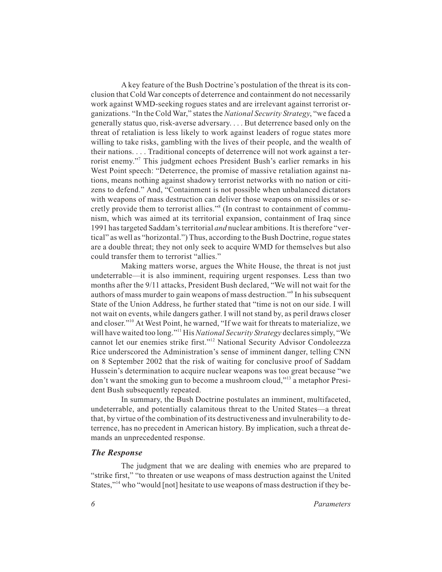A key feature of the Bush Doctrine's postulation of the threat is its conclusion that Cold War concepts of deterrence and containment do not necessarily work against WMD-seeking rogues states and are irrelevant against terrorist organizations. "In the Cold War," states the *National Security Strategy*, "we faced a generally status quo, risk-averse adversary. . . . But deterrence based only on the threat of retaliation is less likely to work against leaders of rogue states more willing to take risks, gambling with the lives of their people, and the wealth of their nations....Traditional concepts of deterrence will not work against a terrorist enemy."7 This judgment echoes President Bush's earlier remarks in his West Point speech: "Deterrence, the promise of massive retaliation against nations, means nothing against shadowy terrorist networks with no nation or citizens to defend." And, "Containment is not possible when unbalanced dictators with weapons of mass destruction can deliver those weapons on missiles or secretly provide them to terrorist allies."<sup>8</sup> (In contrast to containment of communism, which was aimed at its territorial expansion, containment of Iraq since 1991 has targeted Saddam's territorial *and* nuclear ambitions. It is therefore "vertical" as well as "horizontal.") Thus, according to the Bush Doctrine, rogue states are a double threat; they not only seek to acquire WMD for themselves but also could transfer them to terrorist "allies."

Making matters worse, argues the White House, the threat is not just undeterrable—it is also imminent, requiring urgent responses. Less than two months after the 9/11 attacks, President Bush declared, "We will not wait for the authors of mass murder to gain weapons of mass destruction."9 In his subsequent State of the Union Address, he further stated that "time is not on our side. I will not wait on events, while dangers gather. I will not stand by, as peril draws closer and closer."10 At West Point, he warned, "If we wait for threats to materialize, we will have waited too long."11 His *National Security Strategy* declares simply, "We cannot let our enemies strike first."12 National Security Advisor Condoleezza Rice underscored the Administration's sense of imminent danger, telling CNN on 8 September 2002 that the risk of waiting for conclusive proof of Saddam Hussein's determination to acquire nuclear weapons was too great because "we don't want the smoking gun to become a mushroom cloud,"13 a metaphor President Bush subsequently repeated.

In summary, the Bush Doctrine postulates an imminent, multifaceted, undeterrable, and potentially calamitous threat to the United States—a threat that, by virtue of the combination of its destructiveness and invulnerability to deterrence, has no precedent in American history. By implication, such a threat demands an unprecedented response.

#### *The Response*

The judgment that we are dealing with enemies who are prepared to "strike first," "to threaten or use weapons of mass destruction against the United States,"<sup>14</sup> who "would [not] hesitate to use weapons of mass destruction if they be-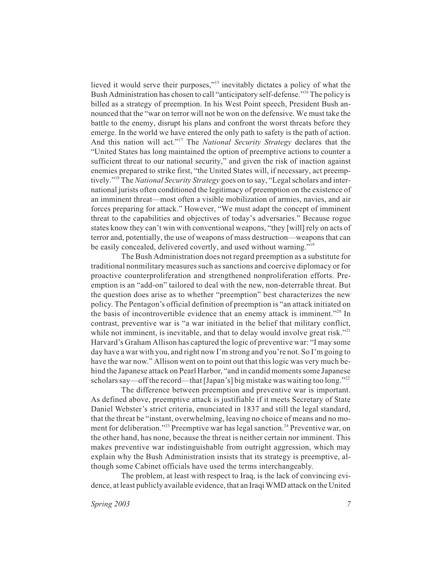lieved it would serve their purposes,"15 inevitably dictates a policy of what the Bush Administration has chosen to call "anticipatory self-defense."16 The policy is billed as a strategy of preemption. In his West Point speech, President Bush announced that the "war on terror will not be won on the defensive. We must take the battle to the enemy, disrupt his plans and confront the worst threats before they emerge. In the world we have entered the only path to safety is the path of action. And this nation will act."17 The *National Security Strategy* declares that the "United States has long maintained the option of preemptive actions to counter a sufficient threat to our national security," and given the risk of inaction against enemies prepared to strike first, "the United States will, if necessary, act preemptively."18 The *National Security Strategy* goes on to say, "Legal scholars and international jurists often conditioned the legitimacy of preemption on the existence of an imminent threat—most often a visible mobilization of armies, navies, and air forces preparing for attack." However, "We must adapt the concept of imminent threat to the capabilities and objectives of today's adversaries." Because rogue states know they can't win with conventional weapons, "they [will] rely on acts of terror and, potentially, the use of weapons of mass destruction—weapons that can be easily concealed, delivered covertly, and used without warning."<sup>19</sup>

The Bush Administration does not regard preemption as a substitute for traditional nonmilitary measures such as sanctions and coercive diplomacy or for proactive counterproliferation and strengthened nonproliferation efforts. Preemption is an "add-on" tailored to deal with the new, non-deterrable threat. But the question does arise as to whether "preemption" best characterizes the new policy. The Pentagon's official definition of preemption is "an attack initiated on the basis of incontrovertible evidence that an enemy attack is imminent."<sup>20</sup> In contrast, preventive war is "a war initiated in the belief that military conflict, while not imminent, is inevitable, and that to delay would involve great risk." $21$ Harvard's Graham Allison has captured the logic of preventive war: "I may some day have a war with you, and right now I'm strong and you're not. So I'm going to have the war now." Allison went on to point out that this logic was very much behind the Japanese attack on Pearl Harbor, "and in candid moments some Japanese scholars say—off the record—that [Japan's] big mistake was waiting too long."22

The difference between preemption and preventive war is important. As defined above, preemptive attack is justifiable if it meets Secretary of State Daniel Webster's strict criteria, enunciated in 1837 and still the legal standard, that the threat be "instant, overwhelming, leaving no choice of means and no moment for deliberation."<sup>23</sup> Preemptive war has legal sanction.<sup>24</sup> Preventive war, on the other hand, has none, because the threat is neither certain nor imminent. This makes preventive war indistinguishable from outright aggression, which may explain why the Bush Administration insists that its strategy is preemptive, although some Cabinet officials have used the terms interchangeably.

The problem, at least with respect to Iraq, is the lack of convincing evidence, at least publicly available evidence, that an Iraqi WMD attack on the United

*Spring 2003* 7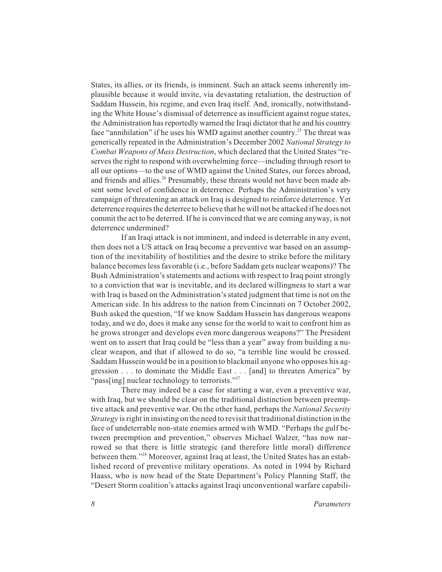States, its allies, or its friends, is imminent. Such an attack seems inherently implausible because it would invite, via devastating retaliation, the destruction of Saddam Hussein, his regime, and even Iraq itself. And, ironically, notwithstanding the White House's dismissal of deterrence as insufficient against rogue states, the Administration has reportedly warned the Iraqi dictator that he and his country face "annihilation" if he uses his WMD against another country.<sup>25</sup> The threat was generically repeated in the Administration's December 2002 *National Strategy to Combat Weapons of Mass Destruction*, which declared that the United States "reserves the right to respond with overwhelming force—including through resort to all our options—to the use of WMD against the United States, our forces abroad, and friends and allies.<sup>26</sup> Presumably, these threats would not have been made absent some level of confidence in deterrence. Perhaps the Administration's very campaign of threatening an attack on Iraq is designed to reinforce deterrence. Yet deterrence requires the deterree to believe that he will not be attacked if he does not commit the act to be deterred. If he is convinced that we are coming anyway, is not deterrence undermined?

If an Iraqi attack is not imminent, and indeed is deterrable in any event, then does not a US attack on Iraq become a preventive war based on an assumption of the inevitability of hostilities and the desire to strike before the military balance becomes less favorable (i.e., before Saddam gets nuclear weapons)? The Bush Administration's statements and actions with respect to Iraq point strongly to a conviction that war is inevitable, and its declared willingness to start a war with Iraq is based on the Administration's stated judgment that time is not on the American side. In his address to the nation from Cincinnati on 7 October 2002, Bush asked the question, "If we know Saddam Hussein has dangerous weapons today, and we do, does it make any sense for the world to wait to confront him as he grows stronger and develops even more dangerous weapons?" The President went on to assert that Iraq could be "less than a year" away from building a nuclear weapon, and that if allowed to do so, "a terrible line would be crossed. Saddam Hussein would be in a position to blackmail anyone who opposes his aggression . . . to dominate the Middle East... [and] to threaten America" by "pass[ing] nuclear technology to terrorists."<sup>27</sup>

There may indeed be a case for starting a war, even a preventive war, with Iraq, but we should be clear on the traditional distinction between preemptive attack and preventive war. On the other hand, perhaps the *National Security Strategy* is right in insisting on the need to revisit that traditional distinction in the face of undeterrable non-state enemies armed with WMD. "Perhaps the gulf between preemption and prevention," observes Michael Walzer, "has now narrowed so that there is little strategic (and therefore little moral) difference between them."<sup>28</sup> Moreover, against Iraq at least, the United States has an established record of preventive military operations. As noted in 1994 by Richard Haass, who is now head of the State Department's Policy Planning Staff, the "Desert Storm coalition's attacks against Iraqi unconventional warfare capabili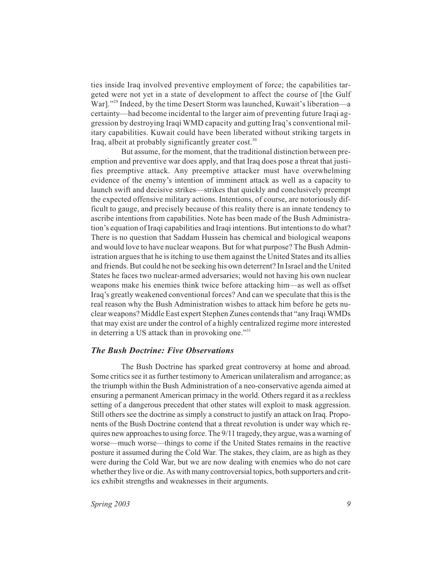ties inside Iraq involved preventive employment of force; the capabilities targeted were not yet in a state of development to affect the course of [the Gulf War]."<sup>29</sup> Indeed, by the time Desert Storm was launched, Kuwait's liberation—a certainty—had become incidental to the larger aim of preventing future Iraqi aggression by destroying Iraqi WMD capacity and gutting Iraq's conventional military capabilities. Kuwait could have been liberated without striking targets in Iraq, albeit at probably significantly greater cost.<sup>30</sup>

But assume, for the moment, that the traditional distinction between preemption and preventive war does apply, and that Iraq does pose a threat that justifies preemptive attack. Any preemptive attacker must have overwhelming evidence of the enemy's intention of imminent attack as well as a capacity to launch swift and decisive strikes—strikes that quickly and conclusively preempt the expected offensive military actions. Intentions, of course, are notoriously difficult to gauge, and precisely because of this reality there is an innate tendency to ascribe intentions from capabilities. Note has been made of the Bush Administration's equation of Iraqi capabilities and Iraqi intentions. But intentions to do what? There is no question that Saddam Hussein has chemical and biological weapons and would love to have nuclear weapons. But for what purpose? The Bush Administration argues that he is itching to use them against the United States and its allies and friends. But could he not be seeking his own deterrent? In Israel and the United States he faces two nuclear-armed adversaries; would not having his own nuclear weapons make his enemies think twice before attacking him—as well as offset Iraq's greatly weakened conventional forces? And can we speculate that this is the real reason why the Bush Administration wishes to attack him before he gets nuclear weapons? Middle East expert Stephen Zunes contends that "any Iraqi WMDs that may exist are under the control of a highly centralized regime more interested in deterring a US attack than in provoking one."<sup>31</sup>

#### *The Bush Doctrine: Five Observations*

The Bush Doctrine has sparked great controversy at home and abroad. Some critics see it as further testimony to American unilateralism and arrogance; as the triumph within the Bush Administration of a neo-conservative agenda aimed at ensuring a permanent American primacy in the world. Others regard it as a reckless setting of a dangerous precedent that other states will exploit to mask aggression. Still others see the doctrine as simply a construct to justify an attack on Iraq. Proponents of the Bush Doctrine contend that a threat revolution is under way which requires new approaches to using force. The  $9/11$  tragedy, they argue, was a warning of worse—much worse—things to come if the United States remains in the reactive posture it assumed during the Cold War. The stakes, they claim, are as high as they were during the Cold War, but we are now dealing with enemies who do not care whether they live or die. As with many controversial topics, both supporters and critics exhibit strengths and weaknesses in their arguments.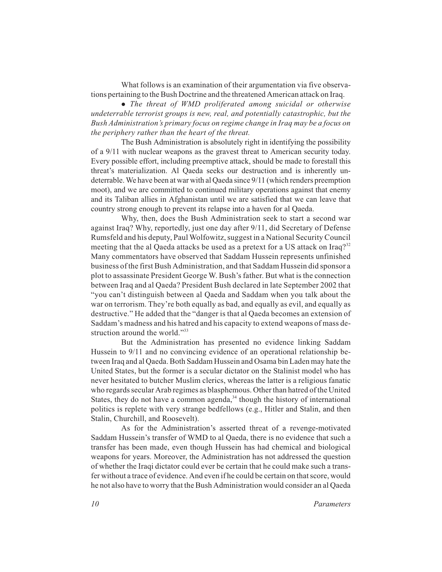What follows is an examination of their argumentation via five observations pertaining to the Bush Doctrine and the threatened American attack on Iraq.

 *The threat of WMD proliferated among suicidal or otherwise undeterrable terrorist groups is new, real, and potentially catastrophic, but the Bush Administration's primary focus on regime change in Iraq may be a focus on the periphery rather than the heart of the threat.*

The Bush Administration is absolutely right in identifying the possibility of a 9/11 with nuclear weapons as the gravest threat to American security today. Every possible effort, including preemptive attack, should be made to forestall this threat's materialization. Al Qaeda seeks our destruction and is inherently undeterrable. We have been at war with al Qaeda since 9/11 (which renders preemption moot), and we are committed to continued military operations against that enemy and its Taliban allies in Afghanistan until we are satisfied that we can leave that country strong enough to prevent its relapse into a haven for al Qaeda.

Why, then, does the Bush Administration seek to start a second war against Iraq? Why, reportedly, just one day after 9/11, did Secretary of Defense Rumsfeld and his deputy, Paul Wolfowitz, suggest in a National Security Council meeting that the al Qaeda attacks be used as a pretext for a US attack on Iraq? $32$ Many commentators have observed that Saddam Hussein represents unfinished business of the first Bush Administration, and that Saddam Hussein did sponsor a plot to assassinate President George W. Bush's father. But what is the connection between Iraq and al Qaeda? President Bush declared in late September 2002 that "you can't distinguish between al Qaeda and Saddam when you talk about the war on terrorism. They're both equally as bad, and equally as evil, and equally as destructive." He added that the "danger is that al Qaeda becomes an extension of Saddam's madness and his hatred and his capacity to extend weapons of mass destruction around the world."33

But the Administration has presented no evidence linking Saddam Hussein to 9/11 and no convincing evidence of an operational relationship between Iraq and al Qaeda. Both Saddam Hussein and Osama bin Laden may hate the United States, but the former is a secular dictator on the Stalinist model who has never hesitated to butcher Muslim clerics, whereas the latter is a religious fanatic who regards secular Arab regimes as blasphemous. Other than hatred of the United States, they do not have a common agenda, $34$  though the history of international politics is replete with very strange bedfellows (e.g., Hitler and Stalin, and then Stalin, Churchill, and Roosevelt).

As for the Administration's asserted threat of a revenge-motivated Saddam Hussein's transfer of WMD to al Qaeda, there is no evidence that such a transfer has been made, even though Hussein has had chemical and biological weapons for years. Moreover, the Administration has not addressed the question of whether the Iraqi dictator could ever be certain that he could make such a transfer without a trace of evidence. And even if he could be certain on that score, would he not also have to worry that the Bush Administration would consider an al Qaeda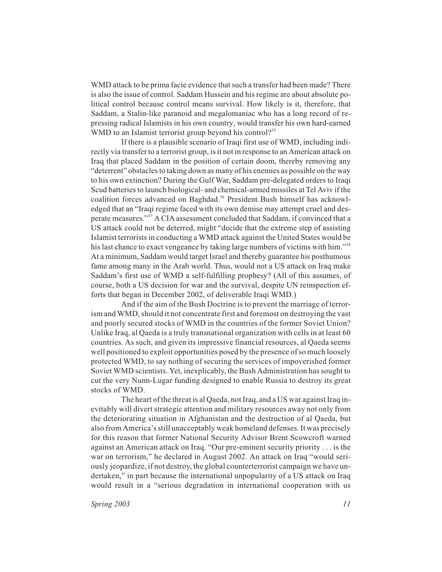WMD attack to be prima facie evidence that such a transfer had been made? There is also the issue of control. Saddam Hussein and his regime are about absolute political control because control means survival. How likely is it, therefore, that Saddam, a Stalin-like paranoid and megalomaniac who has a long record of repressing radical Islamists in his own country, would transfer his own hard-earned WMD to an Islamist terrorist group beyond his control?<sup>35</sup>

If there is a plausible scenario of Iraqi first use of WMD, including indirectly via transfer to a terrorist group, is it not in response to an American attack on Iraq that placed Saddam in the position of certain doom, thereby removing any "deterrent" obstacles to taking down as many of his enemies as possible on the way to his own extinction? During the Gulf War, Saddam pre-delegated orders to Iraqi Scud batteries to launch biological- and chemical-armed missiles at Tel Aviv if the coalition forces advanced on Baghdad.<sup>36</sup> President Bush himself has acknowledged that an "Iraqi regime faced with its own demise may attempt cruel and desperate measures."37 A CIA assessment concluded that Saddam, if convinced that a US attack could not be deterred, might "decide that the extreme step of assisting Islamist terrorists in conducting a WMD attack against the United States would be his last chance to exact vengeance by taking large numbers of victims with him."<sup>38</sup> At a minimum, Saddam would target Israel and thereby guarantee his posthumous fame among many in the Arab world. Thus, would not a US attack on Iraq make Saddam's first use of WMD a self-fulfilling prophesy? (All of this assumes, of course, both a US decision for war and the survival, despite UN reinspection efforts that began in December 2002, of deliverable Iraqi WMD.)

And if the aim of the Bush Doctrine is to prevent the marriage of terrorism and WMD, should it not concentrate first and foremost on destroying the vast and poorly secured stocks of WMD in the countries of the former Soviet Union? Unlike Iraq, al Qaeda is a truly transnational organization with cells in at least 60 countries. As such, and given its impressive financial resources, al Qaeda seems well positioned to exploit opportunities posed by the presence of so much loosely protected WMD, to say nothing of securing the services of impoverished former Soviet WMD scientists. Yet, inexplicably, the Bush Administration has sought to cut the very Nunn-Lugar funding designed to enable Russia to destroy its great stocks of WMD.

The heart of the threat is al Qaeda, not Iraq, and a US war against Iraq inevitably will divert strategic attention and military resources away not only from the deteriorating situation in Afghanistan and the destruction of al Qaeda, but also from America's still unacceptably weak homeland defenses. It was precisely for this reason that former National Security Advisor Brent Scowcroft warned against an American attack on Iraq. "Our pre-eminent security priority . . . is the war on terrorism," he declared in August 2002. An attack on Iraq "would seriously jeopardize, if not destroy, the global counterterrorist campaign we have undertaken," in part because the international unpopularity of a US attack on Iraq would result in a "serious degradation in international cooperation with us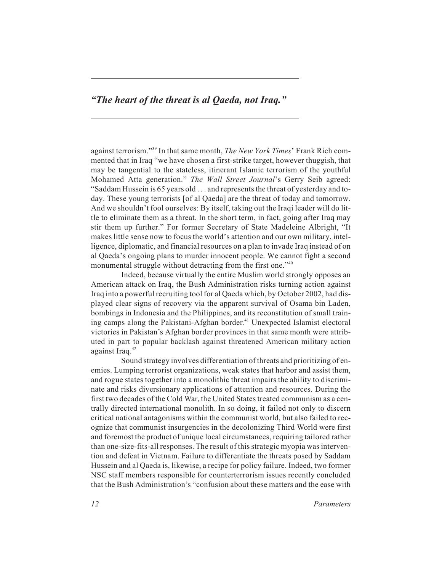## *"The heart of the threat is al Qaeda, not Iraq."*

against terrorism."39 In that same month, *The New York Times*' Frank Rich commented that in Iraq "we have chosen a first-strike target, however thuggish, that may be tangential to the stateless, itinerant Islamic terrorism of the youthful Mohamed Atta generation." *The Wall Street Journal*'s Gerry Seib agreed: "Saddam Hussein is 65 years old . . . and represents the threat of yesterday and today. These young terrorists [of al Qaeda] are the threat of today and tomorrow. And we shouldn't fool ourselves: By itself, taking out the Iraqi leader will do little to eliminate them as a threat. In the short term, in fact, going after Iraq may stir them up further." For former Secretary of State Madeleine Albright, "It makes little sense now to focus the world's attention and our own military, intelligence, diplomatic, and financial resources on a plan to invade Iraq instead of on al Qaeda's ongoing plans to murder innocent people. We cannot fight a second monumental struggle without detracting from the first one."<sup>40</sup>

Indeed, because virtually the entire Muslim world strongly opposes an American attack on Iraq, the Bush Administration risks turning action against Iraq into a powerful recruiting tool for al Qaeda which, by October 2002, had displayed clear signs of recovery via the apparent survival of Osama bin Laden, bombings in Indonesia and the Philippines, and its reconstitution of small training camps along the Pakistani-Afghan border.<sup>41</sup> Unexpected Islamist electoral victories in Pakistan's Afghan border provinces in that same month were attributed in part to popular backlash against threatened American military action against Iraq.<sup>42</sup>

Sound strategy involves differentiation of threats and prioritizing of enemies. Lumping terrorist organizations, weak states that harbor and assist them, and rogue states together into a monolithic threat impairs the ability to discriminate and risks diversionary applications of attention and resources. During the first two decades of the Cold War, the United States treated communism as a centrally directed international monolith. In so doing, it failed not only to discern critical national antagonisms within the communist world, but also failed to recognize that communist insurgencies in the decolonizing Third World were first and foremost the product of unique local circumstances, requiring tailored rather than one-size-fits-all responses. The result of this strategic myopia was intervention and defeat in Vietnam. Failure to differentiate the threats posed by Saddam Hussein and al Qaeda is, likewise, a recipe for policy failure. Indeed, two former NSC staff members responsible for counterterrorism issues recently concluded that the Bush Administration's "confusion about these matters and the ease with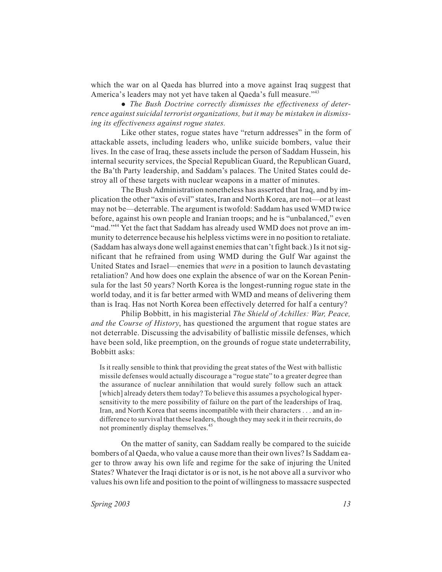which the war on al Qaeda has blurred into a move against Iraq suggest that America's leaders may not yet have taken al Qaeda's full measure."<sup>43</sup>

 *The Bush Doctrine correctly dismisses the effectiveness of deterrence against suicidal terrorist organizations, but it may be mistaken in dismissing its effectiveness against rogue states.*

Like other states, rogue states have "return addresses" in the form of attackable assets, including leaders who, unlike suicide bombers, value their lives. In the case of Iraq, these assets include the person of Saddam Hussein, his internal security services, the Special Republican Guard, the Republican Guard, the Ba'th Party leadership, and Saddam's palaces. The United States could destroy all of these targets with nuclear weapons in a matter of minutes.

The Bush Administration nonetheless has asserted that Iraq, and by implication the other "axis of evil" states, Iran and North Korea, are not—or at least may not be—deterrable. The argument is twofold: Saddam has used WMD twice before, against his own people and Iranian troops; and he is "unbalanced," even "mad."<sup>44</sup> Yet the fact that Saddam has already used WMD does not prove an immunity to deterrence because his helpless victims were in no position to retaliate. (Saddam has always done well against enemies that can't fight back.) Is it not significant that he refrained from using WMD during the Gulf War against the United States and Israel—enemies that *were* in a position to launch devastating retaliation? And how does one explain the absence of war on the Korean Peninsula for the last 50 years? North Korea is the longest-running rogue state in the world today, and it is far better armed with WMD and means of delivering them than is Iraq. Has not North Korea been effectively deterred for half a century?

Philip Bobbitt, in his magisterial *The Shield of Achilles: War, Peace, and the Course of History*, has questioned the argument that rogue states are not deterrable. Discussing the advisability of ballistic missile defenses, which have been sold, like preemption, on the grounds of rogue state undeterrability, Bobbitt asks:

Is it really sensible to think that providing the great states of the West with ballistic missile defenses would actually discourage a "rogue state" to a greater degree than the assurance of nuclear annihilation that would surely follow such an attack [which] already deters them today? To believe this assumes a psychological hypersensitivity to the mere possibility of failure on the part of the leaderships of Iraq, Iran, and North Korea that seems incompatible with their characters . . . and an indifference to survival that these leaders, though they may seek it in their recruits, do not prominently display themselves.<sup>45</sup>

On the matter of sanity, can Saddam really be compared to the suicide bombers of al Qaeda, who value a cause more than their own lives? Is Saddam eager to throw away his own life and regime for the sake of injuring the United States? Whatever the Iraqi dictator is or is not, is he not above all a survivor who values his own life and position to the point of willingness to massacre suspected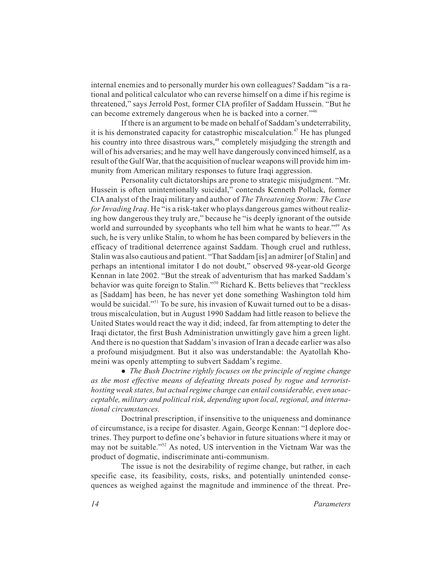internal enemies and to personally murder his own colleagues? Saddam "is a rational and political calculator who can reverse himself on a dime if his regime is threatened," says Jerrold Post, former CIA profiler of Saddam Hussein. "But he can become extremely dangerous when he is backed into a corner."<sup>46</sup>

If there is an argument to be made on behalf of Saddam's undeterrability, it is his demonstrated capacity for catastrophic miscalculation.<sup>47</sup> He has plunged his country into three disastrous wars,<sup>48</sup> completely misjudging the strength and will of his adversaries; and he may well have dangerously convinced himself, as a result of the Gulf War, that the acquisition of nuclear weapons will provide him immunity from American military responses to future Iraqi aggression.

Personality cult dictatorships are prone to strategic misjudgment. "Mr. Hussein is often unintentionally suicidal," contends Kenneth Pollack, former CIA analyst of the Iraqi military and author of *The Threatening Storm: The Case for Invading Iraq*. He "is a risk-taker who plays dangerous games without realizing how dangerous they truly are," because he "is deeply ignorant of the outside world and surrounded by sycophants who tell him what he wants to hear."<sup>49</sup> As such, he is very unlike Stalin, to whom he has been compared by believers in the efficacy of traditional deterrence against Saddam. Though cruel and ruthless, Stalin was also cautious and patient. "That Saddam [is] an admirer [of Stalin] and perhaps an intentional imitator I do not doubt," observed 98-year-old George Kennan in late 2002. "But the streak of adventurism that has marked Saddam's behavior was quite foreign to Stalin."<sup>50</sup> Richard K. Betts believes that "reckless as [Saddam] has been, he has never yet done something Washington told him would be suicidal."<sup>51</sup> To be sure, his invasion of Kuwait turned out to be a disastrous miscalculation, but in August 1990 Saddam had little reason to believe the United States would react the way it did; indeed, far from attempting to deter the Iraqi dictator, the first Bush Administration unwittingly gave him a green light. And there is no question that Saddam's invasion of Iran a decade earlier was also a profound misjudgment. But it also was understandable: the Ayatollah Khomeini was openly attempting to subvert Saddam's regime.

 *The Bush Doctrine rightly focuses on the principle of regime change as the most effective means of defeating threats posed by rogue and terroristhosting weak states, but actual regime change can entail considerable, even unacceptable, military and political risk, depending upon local, regional, and international circumstances.*

Doctrinal prescription, if insensitive to the uniqueness and dominance of circumstance, is a recipe for disaster. Again, George Kennan: "I deplore doctrines. They purport to define one's behavior in future situations where it may or may not be suitable."<sup>52</sup> As noted, US intervention in the Vietnam War was the product of dogmatic, indiscriminate anti-communism.

The issue is not the desirability of regime change, but rather, in each specific case, its feasibility, costs, risks, and potentially unintended consequences as weighed against the magnitude and imminence of the threat. Pre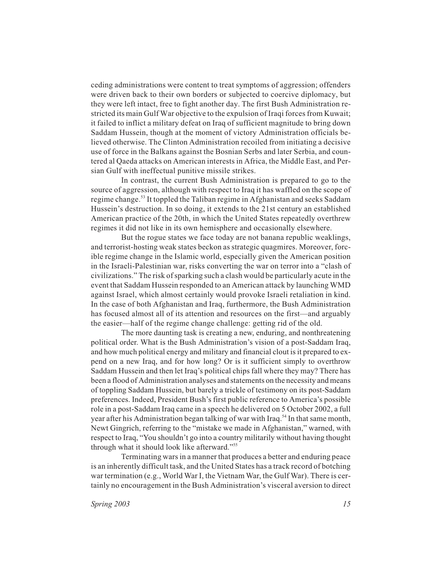ceding administrations were content to treat symptoms of aggression; offenders were driven back to their own borders or subjected to coercive diplomacy, but they were left intact, free to fight another day. The first Bush Administration restricted its main Gulf War objective to the expulsion of Iraqi forces from Kuwait; it failed to inflict a military defeat on Iraq of sufficient magnitude to bring down Saddam Hussein, though at the moment of victory Administration officials believed otherwise. The Clinton Administration recoiled from initiating a decisive use of force in the Balkans against the Bosnian Serbs and later Serbia, and countered al Qaeda attacks on American interests in Africa, the Middle East, and Persian Gulf with ineffectual punitive missile strikes.

In contrast, the current Bush Administration is prepared to go to the source of aggression, although with respect to Iraq it has waffled on the scope of regime change.<sup>53</sup> It toppled the Taliban regime in Afghanistan and seeks Saddam Hussein's destruction. In so doing, it extends to the 21st century an established American practice of the 20th, in which the United States repeatedly overthrew regimes it did not like in its own hemisphere and occasionally elsewhere.

But the rogue states we face today are not banana republic weaklings, and terrorist-hosting weak states beckon as strategic quagmires. Moreover, forcible regime change in the Islamic world, especially given the American position in the Israeli-Palestinian war, risks converting the war on terror into a "clash of civilizations." The risk of sparking such a clash would be particularly acute in the event that Saddam Hussein responded to an American attack by launching WMD against Israel, which almost certainly would provoke Israeli retaliation in kind. In the case of both Afghanistan and Iraq, furthermore, the Bush Administration has focused almost all of its attention and resources on the first—and arguably the easier—half of the regime change challenge: getting rid of the old.

The more daunting task is creating a new, enduring, and nonthreatening political order. What is the Bush Administration's vision of a post-Saddam Iraq, and how much political energy and military and financial clout is it prepared to expend on a new Iraq, and for how long? Or is it sufficient simply to overthrow Saddam Hussein and then let Iraq's political chips fall where they may? There has been a flood of Administration analyses and statements on the necessity and means of toppling Saddam Hussein, but barely a trickle of testimony on its post-Saddam preferences. Indeed, President Bush's first public reference to America's possible role in a post-Saddam Iraq came in a speech he delivered on 5 October 2002, a full year after his Administration began talking of war with Iraq.<sup>54</sup> In that same month, Newt Gingrich, referring to the "mistake we made in Afghanistan," warned, with respect to Iraq, "You shouldn't go into a country militarily without having thought through what it should look like afterward."<sup>55</sup>

Terminating wars in a manner that produces a better and enduring peace is an inherently difficult task, and the United States has a track record of botching war termination (e.g., World War I, the Vietnam War, the Gulf War). There is certainly no encouragement in the Bush Administration's visceral aversion to direct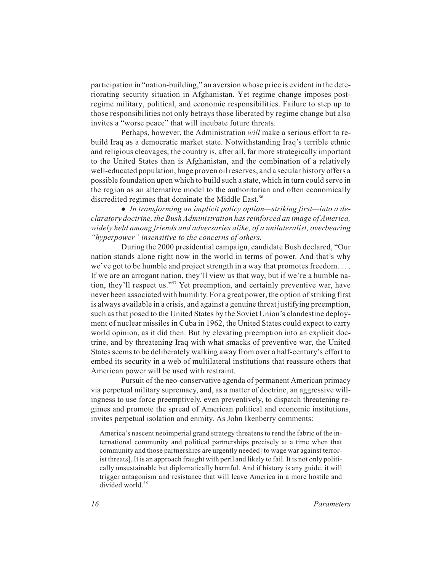participation in "nation-building," an aversion whose price is evident in the deteriorating security situation in Afghanistan. Yet regime change imposes postregime military, political, and economic responsibilities. Failure to step up to those responsibilities not only betrays those liberated by regime change but also invites a "worse peace" that will incubate future threats.

Perhaps, however, the Administration *will* make a serious effort to rebuild Iraq as a democratic market state. Notwithstanding Iraq's terrible ethnic and religious cleavages, the country is, after all, far more strategically important to the United States than is Afghanistan, and the combination of a relatively well-educated population, huge proven oil reserves, and a secular history offers a possible foundation upon which to build such a state, which in turn could serve in the region as an alternative model to the authoritarian and often economically discredited regimes that dominate the Middle East.<sup>56</sup>

 *In transforming an implicit policy option—striking first—into a declaratory doctrine, the Bush Administration has reinforced an image of America, widely held among friends and adversaries alike, of a unilateralist, overbearing "hyperpower" insensitive to the concerns of others.*

During the 2000 presidential campaign, candidate Bush declared, "Our nation stands alone right now in the world in terms of power. And that's why we've got to be humble and project strength in a way that promotes freedom. . . . If we are an arrogant nation, they'll view us that way, but if we're a humble nation, they'll respect us."57 Yet preemption, and certainly preventive war, have never been associated with humility. For a great power, the option of striking first is always available in a crisis, and against a genuine threat justifying preemption, such as that posed to the United States by the Soviet Union's clandestine deployment of nuclear missiles in Cuba in 1962, the United States could expect to carry world opinion, as it did then. But by elevating preemption into an explicit doctrine, and by threatening Iraq with what smacks of preventive war, the United States seems to be deliberately walking away from over a half-century's effort to embed its security in a web of multilateral institutions that reassure others that American power will be used with restraint.

Pursuit of the neo-conservative agenda of permanent American primacy via perpetual military supremacy, and, as a matter of doctrine, an aggressive willingness to use force preemptively, even preventively, to dispatch threatening regimes and promote the spread of American political and economic institutions, invites perpetual isolation and enmity. As John Ikenberry comments:

America's nascent neoimperial grand strategy threatens to rend the fabric of the international community and political partnerships precisely at a time when that community and those partnerships are urgently needed [to wage war against terrorist threats]. It is an approach fraught with peril and likely to fail. It is not only politically unsustainable but diplomatically harmful. And if history is any guide, it will trigger antagonism and resistance that will leave America in a more hostile and divided world.<sup>58</sup>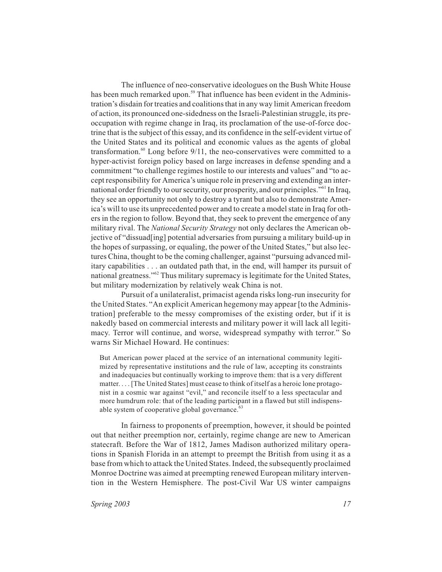The influence of neo-conservative ideologues on the Bush White House has been much remarked upon.<sup>59</sup> That influence has been evident in the Administration's disdain for treaties and coalitions that in any way limit American freedom of action, its pronounced one-sidedness on the Israeli-Palestinian struggle, its preoccupation with regime change in Iraq, its proclamation of the use-of-force doctrine that is the subject of this essay, and its confidence in the self-evident virtue of the United States and its political and economic values as the agents of global transformation. $60$  Long before  $9/11$ , the neo-conservatives were committed to a hyper-activist foreign policy based on large increases in defense spending and a commitment "to challenge regimes hostile to our interests and values" and "to accept responsibility for America's unique role in preserving and extending an international order friendly to our security, our prosperity, and our principles."61 In Iraq, they see an opportunity not only to destroy a tyrant but also to demonstrate America's will to use its unprecedented power and to create a model state in Iraq for others in the region to follow. Beyond that, they seek to prevent the emergence of any military rival. The *National Security Strategy* not only declares the American objective of "dissuad[ing] potential adversaries from pursuing a military build-up in the hopes of surpassing, or equaling, the power of the United States," but also lectures China, thought to be the coming challenger, against "pursuing advanced military capabilities . . . an outdated path that, in the end, will hamper its pursuit of national greatness."<sup>62</sup> Thus military supremacy is legitimate for the United States, but military modernization by relatively weak China is not.

Pursuit of a unilateralist, primacist agenda risks long-run insecurity for the United States. "An explicit American hegemony may appear [to the Administration] preferable to the messy compromises of the existing order, but if it is nakedly based on commercial interests and military power it will lack all legitimacy. Terror will continue, and worse, widespread sympathy with terror." So warns Sir Michael Howard. He continues:

But American power placed at the service of an international community legitimized by representative institutions and the rule of law, accepting its constraints and inadequacies but continually working to improve them: that is a very different matter.... [The United States] must cease to think of itself as a heroic lone protagonist in a cosmic war against "evil," and reconcile itself to a less spectacular and more humdrum role: that of the leading participant in a flawed but still indispensable system of cooperative global governance. $63$ 

In fairness to proponents of preemption, however, it should be pointed out that neither preemption nor, certainly, regime change are new to American statecraft. Before the War of 1812, James Madison authorized military operations in Spanish Florida in an attempt to preempt the British from using it as a base from which to attack the United States. Indeed, the subsequently proclaimed Monroe Doctrine was aimed at preempting renewed European military intervention in the Western Hemisphere. The post-Civil War US winter campaigns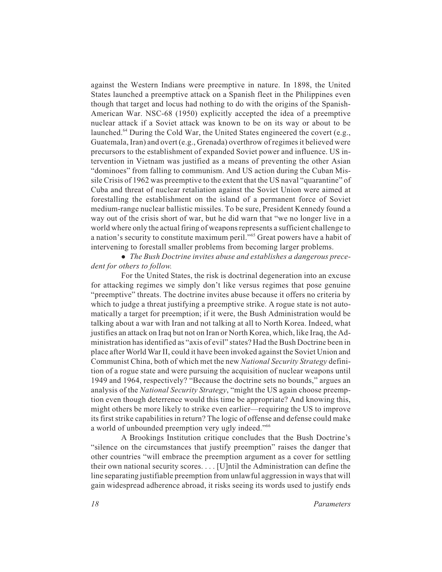against the Western Indians were preemptive in nature. In 1898, the United States launched a preemptive attack on a Spanish fleet in the Philippines even though that target and locus had nothing to do with the origins of the Spanish-American War. NSC-68 (1950) explicitly accepted the idea of a preemptive nuclear attack if a Soviet attack was known to be on its way or about to be launched.<sup>64</sup> During the Cold War, the United States engineered the covert (e.g., Guatemala, Iran) and overt (e.g., Grenada) overthrow of regimes it believed were precursors to the establishment of expanded Soviet power and influence. US intervention in Vietnam was justified as a means of preventing the other Asian "dominoes" from falling to communism. And US action during the Cuban Missile Crisis of 1962 was preemptive to the extent that the US naval "quarantine" of Cuba and threat of nuclear retaliation against the Soviet Union were aimed at forestalling the establishment on the island of a permanent force of Soviet medium-range nuclear ballistic missiles. To be sure, President Kennedy found a way out of the crisis short of war, but he did warn that "we no longer live in a world where only the actual firing of weapons represents a sufficient challenge to a nation's security to constitute maximum peril."<sup>65</sup> Great powers have a habit of intervening to forestall smaller problems from becoming larger problems.

 *The Bush Doctrine invites abuse and establishes a dangerous precedent for others to follow.*

For the United States, the risk is doctrinal degeneration into an excuse for attacking regimes we simply don't like versus regimes that pose genuine "preemptive" threats. The doctrine invites abuse because it offers no criteria by which to judge a threat justifying a preemptive strike. A rogue state is not automatically a target for preemption; if it were, the Bush Administration would be talking about a war with Iran and not talking at all to North Korea. Indeed, what justifies an attack on Iraq but not on Iran or North Korea, which, like Iraq, the Administration has identified as "axis of evil" states? Had the Bush Doctrine been in place after World War II, could it have been invoked against the Soviet Union and Communist China, both of which met the new *National Security Strategy* definition of a rogue state and were pursuing the acquisition of nuclear weapons until 1949 and 1964, respectively? "Because the doctrine sets no bounds," argues an analysis of the *National Security Strategy*, "might the US again choose preemption even though deterrence would this time be appropriate? And knowing this, might others be more likely to strike even earlier—requiring the US to improve its first strike capabilities in return? The logic of offense and defense could make a world of unbounded preemption very ugly indeed."<sup>66</sup>

A Brookings Institution critique concludes that the Bush Doctrine's "silence on the circumstances that justify preemption" raises the danger that other countries "will embrace the preemption argument as a cover for settling their own national security scores.... [U]ntil the Administration can define the line separating justifiable preemption from unlawful aggression in ways that will gain widespread adherence abroad, it risks seeing its words used to justify ends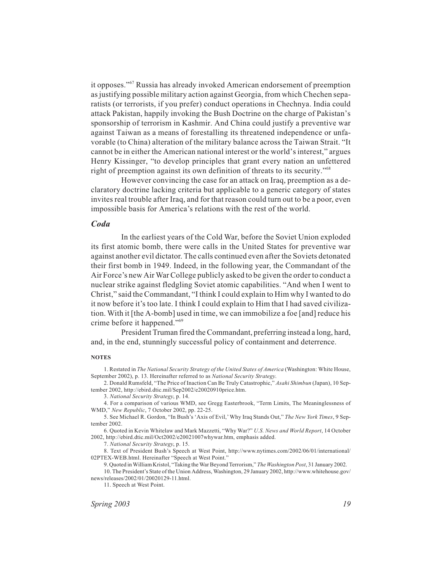it opposes."67 Russia has already invoked American endorsement of preemption as justifying possible military action against Georgia, from which Chechen separatists (or terrorists, if you prefer) conduct operations in Chechnya. India could attack Pakistan, happily invoking the Bush Doctrine on the charge of Pakistan's sponsorship of terrorism in Kashmir. And China could justify a preventive war against Taiwan as a means of forestalling its threatened independence or unfavorable (to China) alteration of the military balance across the Taiwan Strait. "It cannot be in either the American national interest or the world's interest," argues Henry Kissinger, "to develop principles that grant every nation an unfettered right of preemption against its own definition of threats to its security."68

However convincing the case for an attack on Iraq, preemption as a declaratory doctrine lacking criteria but applicable to a generic category of states invites real trouble after Iraq, and for that reason could turn out to be a poor, even impossible basis for America's relations with the rest of the world.

#### *Coda*

In the earliest years of the Cold War, before the Soviet Union exploded its first atomic bomb, there were calls in the United States for preventive war against another evil dictator. The calls continued even after the Soviets detonated their first bomb in 1949. Indeed, in the following year, the Commandant of the Air Force's new Air War College publicly asked to be given the order to conduct a nuclear strike against fledgling Soviet atomic capabilities. "And when I went to Christ," said the Commandant, "I think I could explain to Him why I wanted to do it now before it's too late. I think I could explain to Him that I had saved civilization. With it [the A-bomb] used in time, we can immobilize a foe [and] reduce his crime before it happened."69

President Truman fired the Commandant, preferring instead a long, hard, and, in the end, stunningly successful policy of containment and deterrence.

#### **NOTES**

1. Restated in *The National Security Strategy of the United States of America* (Washington: White House, September 2002), p. 13. Hereinafter referred to as *National Security Strategy*.

2. Donald Rumsfeld, "The Price of Inaction Can Be Truly Catastrophic," *Asahi Shimbun* (Japan), 10 September 2002, http://ebird.dtic.mil/Sep2002/e20020910price.htm.

3. *National Security Strategy*, p. 14.

4. For a comparison of various WMD, see Gregg Easterbrook, "Term Limits, The Meaninglessness of WMD," *New Republic*, 7 October 2002, pp. 22-25.

5. See Michael R. Gordon, "In Bush's 'Axis of Evil,' Why Iraq Stands Out," *The New York Times*, 9 September 2002.

6. Quoted in Kevin Whitelaw and Mark Mazzetti, "Why War?" *U.S. News and World Report*, 14 October 2002, http://ebird.dtic.mil/Oct2002/e20021007whywar.htm, emphasis added.

7. *National Security Strategy*, p. 15.

8. Text of President Bush's Speech at West Point, http://www.nytimes.com/2002/06/01/international/ 02PTEX-WEB.html. Hereinafter "Speech at West Point."

9. Quoted in William Kristol, "Taking the War Beyond Terrorism," *The Washington Post*, 31 January 2002. 10. The President's State of the Union Address, Washington, 29 January 2002, http://www.whitehouse.gov/

news/releases/2002/01/20020129-11.html.

11. Speech at West Point.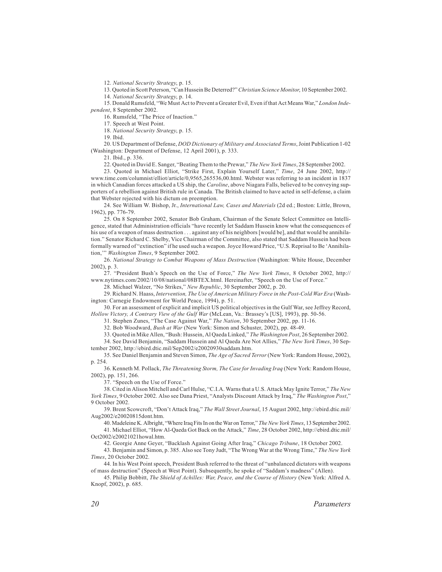12. *National Security Strategy*, p. 15.

13. Quoted in Scott Peterson, "Can Hussein Be Deterred?"*Christian Science Monitor*, 10 September 2002.

14. *National Security Strategy*, p. 14.

15. Donald Rumsfeld, "We Must Act to Prevent a Greater Evil, Even if that Act Means War," *London Independent*, 8 September 2002.

16. Rumsfeld, "The Price of Inaction."

17. Speech at West Point.

18. *National Security Strategy*, p. 15.

19. Ibid.

20. US Department of Defense, *DOD Dictionary of Military and Associated Terms*, Joint Publication 1-02 (Washington: Department of Defense, 12 April 2001), p. 333.

21. Ibid., p. 336.

22. Quoted in David E. Sanger, "Beating Them to the Prewar," *The New York Times*, 28 September 2002.

23. Quoted in Michael Elliot, "Strike First, Explain Yourself Later," *Time*, 24 June 2002, http:// www.time.com/columnist/elliot/article/0,9565,265536,00.html. Webster was referring to an incident in 1837 in which Canadian forces attacked a US ship, the *Caroline*, above Niagara Falls, believed to be conveying supporters of a rebellion against British rule in Canada. The British claimed to have acted in self-defense, a claim that Webster rejected with his dictum on preemption.

24. See William W. Bishop, Jr., *International Law, Cases and Materials* (2d ed.; Boston: Little, Brown, 1962), pp. 776-79.

25. On 8 September 2002, Senator Bob Graham, Chairman of the Senate Select Committee on Intelligence, stated that Administration officials "have recently let Saddam Hussein know what the consequences of his use of a weapon of mass destruction . . . against any of his neighbors [would be], and that would be annihilation." Senator Richard C. Shelby, Vice Chairman of the Committee, also stated that Saddam Hussein had been formally warned of "extinction" if he used such a weapon. Joyce Howard Price, "U.S. Reprisal to Be 'Annihilation,'" *Washington Times*, 9 September 2002.

26. *National Strategy to Combat Weapons of Mass Destruction* (Washington: White House, December 2002), p. 3.

27. "President Bush's Speech on the Use of Force," *The New York Times*, 8 October 2002, http:// www.nytimes.com/2002/10/08/national/08BTEX.html. Hereinafter, "Speech on the Use of Force."

28. Michael Walzer, "No Strikes," *New Republic*, 30 September 2002, p. 20.

29. Richard N. Haass, *Intervention, The Use of American Military Force in the Post-Cold War Era* (Washington: Carnegie Endowment for World Peace, 1994), p. 51.

30. For an assessment of explicit and implicit US political objectives in the Gulf War, see Jeffrey Record, *Hollow Victory, A Contrary View of the Gulf War* (McLean, Va.: Brassey's [US], 1993), pp. 50-56.

31. Stephen Zunes, "The Case Against War," *The Nation*, 30 September 2002, pp. 11-16.

32. Bob Woodward, *Bush at War* (New York: Simon and Schuster, 2002), pp. 48-49.

33. Quoted in Mike Allen, "Bush: Hussein, Al Qaeda Linked," *The Washington Post*, 26 September 2002.

34. See David Benjamin, "Saddam Hussein and Al Qaeda Are Not Allies," *The New York Times*, 30 September 2002, http://ebird.dtic.mil/Sep2002/e20020930saddam.htm.

35. See Daniel Benjamin and Steven Simon, *The Age of Sacred Terror*(New York: Random House, 2002), p. 254.

36. Kenneth M. Pollack, *The Threatening Storm, The Case for Invading Iraq* (New York: Random House, 2002), pp. 151, 266.

37. "Speech on the Use of Force."

38. Cited in Alison Mitchell and Carl Hulse, "C.I.A. Warns that a U.S. Attack May Ignite Terror," *The New York Times*, 9 October 2002. Also see Dana Priest, "Analysts Discount Attack by Iraq," *The Washington Post*," 9 October 2002.

39. Brent Scowcroft, "Don't Attack Iraq," *The Wall Street Journal*, 15 August 2002, http://ebird.dtic.mil/ Aug2002/e20020815dont.htm.

40. Madeleine K. Albright, "Where Iraq Fits In on the War on Terror," *The New York Times*, 13 September 2002. 41. Michael Elliot, "How Al-Qaeda Got Back on the Attack," *Time*, 28 October 2002, http://ebird.dtic.mil/ Oct2002/e20021021howal.htm.

42. Georgie Anne Geyer, "Backlash Against Going After Iraq," *Chicago Tribune*, 18 October 2002.

43. Benjamin and Simon, p. 385. Also see Tony Judt, "The Wrong War at the Wrong Time," *The New York Times*, 20 October 2002.

44. In his West Point speech, President Bush referred to the threat of "unbalanced dictators with weapons of mass destruction" (Speech at West Point). Subsequently, he spoke of "Saddam's madness" (Allen).

45. Philip Bobbitt, *The Shield of Achilles: War, Peace, and the Course of History* (New York: Alfred A. Knopf, 2002), p. 685.